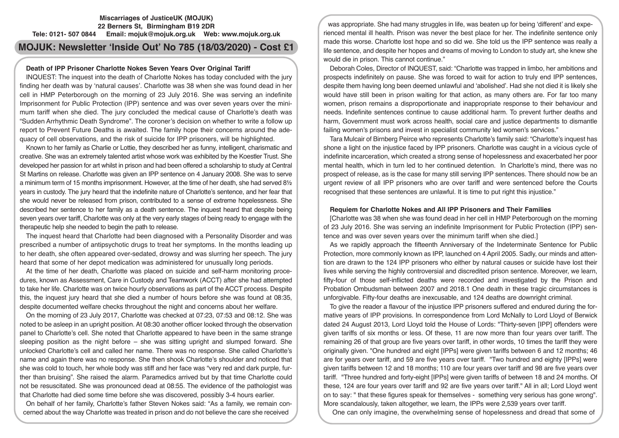## **Miscarriages of JusticeUK (MOJUK) 22 Berners St, Birmingham B19 2DR Tele: 0121- 507 0844 Email: mojuk@mojuk.org.uk Web: www.mojuk.org.uk**

# **MOJUK: Newsletter 'Inside Out' No 785 (18/03/2020) - Cost £1**

# **Death of IPP Prisoner Charlotte Nokes Seven Years Over Original Tariff**

INQUEST: The inquest into the death of Charlotte Nokes has today concluded with the jury finding her death was by 'natural causes'. Charlotte was 38 when she was found dead in her cell in HMP Peterborough on the morning of 23 July 2016. She was serving an indefinite Imprisonment for Public Protection (IPP) sentence and was over seven years over the minimum tariff when she died. The jury concluded the medical cause of Charlotte's death was "Sudden Arrhythmic Death Syndrome". The coroner's decision on whether to write a follow up report to Prevent Future Deaths is awaited. The family hope their concerns around the adequacy of cell observations, and the risk of suicide for IPP prisoners, will be highlighted.

Known to her family as Charlie or Lottie, they described her as funny, intelligent, charismatic and creative. She was an extremely talented artist whose work was exhibited by the Koestler Trust. She developed her passion for art whilst in prison and had been offered a scholarship to study at Central St Martins on release. Charlotte was given an IPP sentence on 4 January 2008. She was to serve a minimum term of 15 months imprisonment. However, at the time of her death, she had served 8½ years in custody. The jury heard that the indefinite nature of Charlotte's sentence, and her fear that she would never be released from prison, contributed to a sense of extreme hopelessness. She described her sentence to her family as a death sentence. The inquest heard that despite being seven years over tariff, Charlotte was only at the very early stages of being ready to engage with the therapeutic help she needed to begin the path to release.

The inquest heard that Charlotte had been diagnosed with a Personality Disorder and was prescribed a number of antipsychotic drugs to treat her symptoms. In the months leading up to her death, she often appeared over-sedated, drowsy and was slurring her speech. The jury heard that some of her depot medication was administered for unusually long periods.

At the time of her death, Charlotte was placed on suicide and self-harm monitoring procedures, known as Assessment, Care in Custody and Teamwork (ACCT) after she had attempted to take her life. Charlotte was on twice hourly observations as part of the ACCT process. Despite this, the inquest jury heard that she died a number of hours before she was found at 08:35, despite documented welfare checks throughout the night and concerns about her welfare.

On the morning of 23 July 2017, Charlotte was checked at 07:23, 07:53 and 08:12. She was noted to be asleep in an upright position. At 08:30 another officer looked through the observation panel to Charlotte's cell. She noted that Charlotte appeared to have been in the same strange sleeping position as the night before – she was sitting upright and slumped forward. She unlocked Charlotte's cell and called her name. There was no response. She called Charlotte's name and again there was no response. She then shook Charlotte's shoulder and noticed that she was cold to touch, her whole body was stiff and her face was "very red and dark purple, further than bruising". She raised the alarm. Paramedics arrived but by that time Charlotte could not be resuscitated. She was pronounced dead at 08:55. The evidence of the pathologist was that Charlotte had died some time before she was discovered, possibly 3-4 hours earlier.

On behalf of her family, Charlotte's father Steven Nokes said: "As a family, we remain concerned about the way Charlotte was treated in prison and do not believe the care she received

was appropriate. She had many struggles in life, was beaten up for being 'different' and experienced mental ill health. Prison was never the best place for her. The indefinite sentence only made this worse. Charlotte lost hope and so did we. She told us the IPP sentence was really a life sentence, and despite her hopes and dreams of moving to London to study art, she knew she would die in prison. This cannot continue."

Deborah Coles, Director of INQUEST, said: "Charlotte was trapped in limbo, her ambitions and prospects indefinitely on pause. She was forced to wait for action to truly end IPP sentences, despite them having long been deemed unlawful and 'abolished'. Had she not died it is likely she would have still been in prison waiting for that action, as many others are. For far too many women, prison remains a disproportionate and inappropriate response to their behaviour and needs. Indefinite sentences continue to cause additional harm. To prevent further deaths and harm, Government must work across health, social care and justice departments to dismantle failing women's prisons and invest in specialist community led women's services."

Tara Mulcair of Birnberg Peirce who represents Charlotte's family said: "Charlotte's inquest has shone a light on the injustice faced by IPP prisoners. Charlotte was caught in a vicious cycle of indefinite incarceration, which created a strong sense of hopelessness and exacerbated her poor mental health, which in turn led to her continued detention. In Charlotte's mind, there was no prospect of release, as is the case for many still serving IPP sentences. There should now be an urgent review of all IPP prisoners who are over tariff and were sentenced before the Courts recognised that these sentences are unlawful. It is time to put right this injustice."

## **Requiem for Charlotte Nokes and All IPP Prisoners and Their Families**

[Charlotte was 38 when she was found dead in her cell in HMP Peterborough on the morning of 23 July 2016. She was serving an indefinite Imprisonment for Public Protection (IPP) sentence and was over seven years over the minimum tariff when she died.]

As we rapidly approach the fifteenth Anniversary of the Indeterminate Sentence for Public Protection, more commonly known as IPP, launched on 4 April 2005. Sadly, our minds and attention are drawn to the 124 IPP prisoners who either by natural causes or suicide have lost their lives while serving the highly controversial and discredited prison sentence. Moreover, we learn, fifty-four of those self-inflicted deaths were recorded and investigated by the Prison and Probation Ombudsman between 2007 and 2018.1 One death in these tragic circumstances is unforgivable. Fifty-four deaths are inexcusable, and 124 deaths are downright criminal.

To give the reader a flavour of the injustice IPP prisoners suffered and endured during the formative years of IPP provisions. In correspondence from Lord McNally to Lord Lloyd of Berwick dated 24 August 2013, Lord Lloyd told the House of Lords: "Thirty-seven [IPP] offenders were given tariffs of six months or less. Of these, 11 are now more than four years over tariff. The remaining 26 of that group are five years over tariff, in other words, 10 times the tariff they were originally given. "One hundred and eight [IPPs] were given tariffs between 6 and 12 months; 46 are for years over tariff, and 59 are five years over tariff. "Two hundred and eighty [IPPs] were given tariffs between 12 and 18 months; 110 are four years over tariff and 98 are five years over tariff. "Three hundred and forty-eight [IPPs] were given tariffs of between 18 and 24 months. Of these, 124 are four years over tariff and 92 are five years over tariff." All in all; Lord Lloyd went on to say: " that these figures speak for themselves - something very serious has gone wrong". More scandalously, taken altogether, we learn, the IPPs were 2,539 years over tariff.

One can only imagine, the overwhelming sense of hopelessness and dread that some of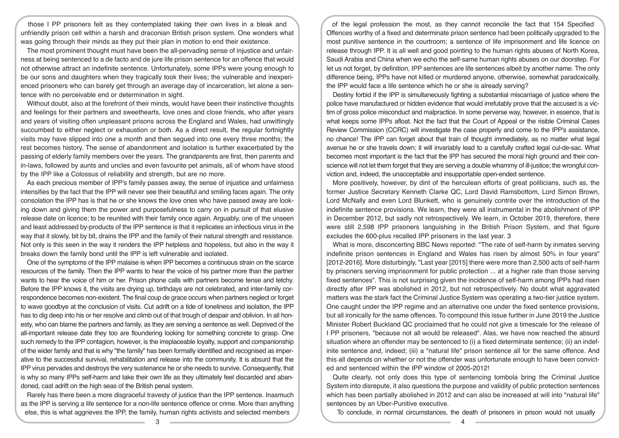those I PP prisoners felt as they contemplated taking their own lives in a bleak and unfriendly prison cell within a harsh and draconian British prison system. One wonders what was going through their minds as they put their plan in motion to end their existence.

The most prominent thought must have been the all-pervading sense of injustice and unfairness at being sentenced to a de facto and de jure life prison sentence for an offence that would not otherwise attract an indefinite sentence. Unfortunately, some IPPs were young enough to be our sons and daughters when they tragically took their lives; the vulnerable and inexperienced prisoners who can barely get through an average day of incarceration, let alone a sentence with no perceivable end or determination in sight.

Without doubt, also at the forefront of their minds, would have been their instinctive thoughts and feelings for their partners and sweethearts, love ones and close friends, who after years and years of visiting often unpleasant prisons across the England and Wales, had unwittingly succumbed to either neglect or exhaustion or both. As a direct result, the regular fortnightly visits may have slipped into one a month and then segued into one every three months; the rest becomes history. The sense of abandonment and isolation is further exacerbated by the passing of elderly family members over the years. The grandparents are first, then parents and in-laws, followed by aunts and uncles and even favourite pet animals, all of whom have stood by the IPP like a Colossus of reliability and strength, but are no more.

As each precious member of IPP's family passes away, the sense of injustice and unfairness intensifies by the fact that the IPP will never see their beautiful and smiling faces again. The only consolation the IPP has is that he or she knows the love ones who have passed away are looking down and giving them the power and purposefulness to carry on in pursuit of that elusive release date on licence; to be reunited with their family once again. Arguably, one of the unseen and least addressed by-products of the IPP sentence is that it replicates an infectious virus in the way that it slowly, bit by bit, drains the IPP and the family of their natural strength and resistance. Not only is this seen in the way it renders the IPP helpless and hopeless, but also in the way it breaks down the family bond until the IPP is left vulnerable and isolated.

One of the symptoms of the IPP malaise is when IPP becomes a continuous strain on the scarce resources of the family. Then the IPP wants to hear the voice of his partner more than the partner wants to hear the voice of him or her. Prison phone calls with partners become tense and tetchy. Before the IPP knows it, the visits are drying up, birthdays are not celebrated, and inter-family correspondence becomes non-existent. The final coup de grace occurs when partners neglect or forget to wave goodbye at the conclusion of visits. Cut adrift on a tide of loneliness and isolation, the IPP has to dig deep into his or her resolve and climb out of that trough of despair and oblivion. In all honesty, who can blame the partners and family, as they are serving a sentence as well. Deprived of the all-important release date they too are floundering looking for something concrete to grasp. One such remedy to the IPP contagion, however, is the irreplaceable loyalty, support and companionship of the wider family and that is why "the family" has been formally identified and recognised as imperative to the successful survival, rehabilitation and release into the community. It is absurd that the IPP virus pervades and destroys the very sustenance he or she needs to survive. Consequently, that is why so many IPPs self-harm and take their own life as they ultimately feel discarded and abandoned, cast adrift on the high seas of the British penal system.

Rarely has there been a more disgraceful travesty of justice than the IPP sentence. Inasmuch as the IPP is serving a life sentence for a non-life sentence offence or crime. More than anything else, this is what aggrieves the IPP, the family, human rights activists and selected members

of the legal profession the most, as they cannot reconcile the fact that 154 Specified Offences worthy of a fixed and determinate prison sentence had been politically upgraded to the most punitive sentence in the courtroom; a sentence of life imprisonment and life licence on release through IPP. It is all well and good pointing to the human rights abuses of North Korea, Saudi Arabia and China when we echo the self-same human rights abuses on our doorstep. For let us not forget, by definition, IPP sentences are life sentences albeit by another name. The only difference being, IPPs have not killed or murdered anyone, otherwise, somewhat paradoxically, the IPP would face a life sentence which he or she is already serving?

Destiny forbid if the IPP is simultaneously fighting a substantial miscarriage of justice where the police have manufactured or hidden evidence that would irrefutably prove that the accused is a victim of gross police misconduct and malpractice. In some perverse way, however, in essence, that is what keeps some IPPs afloat. Not the fact that the Court of Appeal or the risible Criminal Cases Review Commission (CCRC) will investigate the case properly and come to the IPP's assistance, no chance! The IPP can forget about that train of thought immediately, as no matter what legal avenue he or she travels down; it will invariably lead to a carefully crafted legal cul-de-sac. What becomes most important is the fact that the IPP has secured the moral high ground and their conscience will not let them forget that they are serving a double whammy of ill-justice; the wrongful conviction and, indeed, the unacceptable and insupportable open-ended sentence.

More positively, however, by dint of the herculean efforts of great politicians, such as, the former Justice Secretary Kenneth Clarke QC, Lord David Ramsbottom, Lord Simon Brown, Lord McNally and even Lord Blunkett, who is genuinely contrite over the introduction of the indefinite sentence provisions. We learn, they were all instrumental in the abolishment of IPP in December 2012, but sadly not retrospectively. We learn, in October 2019, therefore, there were still 2,598 IPP prisoners languishing in the British Prison System, and that figure excludes the 600-plus recalled IPP prisoners in the last year. 3

What is more, disconcerting BBC News reported: "The rate of self-harm by inmates serving indefinite prison sentences in England and Wales has risen by almost 50% in four years" [2012-2016]. More disturbingly, "Last year [2015] there were more than 2,500 acts of self-harm by prisoners serving imprisonment for public protection ... at a higher rate than those serving fixed sentences". This is not surprising given the incidence of self-harm among IPPs had risen directly after IPP was abolished in 2012, but not retrospectively. No doubt what aggravated matters was the stark fact the Criminal Justice System was operating a two-tier justice system. One caught under the IPP regime and an alternative one under the fixed sentence provisions, but all ironically for the same offences. To compound this issue further in June 2019 the Justice Minister Robert Buckland QC proclaimed that he could not give a timescale for the release of I PP prisoners, "because not all would be released". Alas, we have now reached the absurd situation where an offender may be sentenced to (i) a fixed determinate sentence; (ii) an indefinite sentence and, indeed; (iii) a "natural life" prison sentence all for the same offence. And this all depends on whether or not the offender was unfortunate enough to have been convicted and sentenced within the IPP window of 2005-2012!

Quite clearly, not only does this type of sentencing tombola bring the Criminal Justice System into disrepute, it also questions the purpose and validity of public protection sentences which has been partially abolished in 2012 and can also be increased at will into "natural life" sentences by an Uber-Punitive executive.

To conclude, in normal circumstances, the death of prisoners in prison would not usually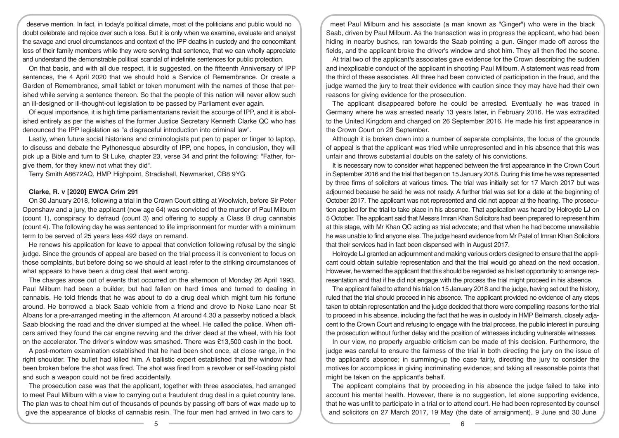deserve mention. In fact, in today's political climate, most of the politicians and public would no doubt celebrate and rejoice over such a loss. But it is only when we examine, evaluate and analyst the savage and cruel circumstances and context of the IPP deaths in custody and the concomitant loss of their family members while they were serving that sentence, that we can wholly appreciate and understand the demonstrable political scandal of indefinite sentences for public protection.

On that basis, and with all due respect, it is suggested, on the fifteenth Anniversary of IPP sentences, the 4 April 2020 that we should hold a Service of Remembrance. Or create a Garden of Remembrance, small tablet or token monument with the names of those that perished while serving a sentence thereon. So that the people of this nation will never allow such an ill-designed or ill-thought-out legislation to be passed by Parliament ever again.

Of equal importance, it is high time parliamentarians revisit the scourge of IPP, and it is abolished entirely as per the wishes of the former Justice Secretary Kenneth Clarke QC who has denounced the IPP legislation as "a disgraceful introduction into criminal law".

Lastly, when future social historians and criminologists put pen to paper or finger to laptop, to discuss and debate the Pythonesque absurdity of IPP, one hopes, in conclusion, they will pick up a Bible and turn to St Luke, chapter 23, verse 34 and print the following: "Father, forgive them, for they knew not what they did".

Terry Smith A8672AQ, HMP Highpoint, Stradishall, Newmarket, CB8 9YG

## **Clarke, R. v [2020] EWCA Crim 291**

On 30 January 2018, following a trial in the Crown Court sitting at Woolwich, before Sir Peter Openshaw and a jury, the applicant (now age 64) was convicted of the murder of Paul Milburn (count 1), conspiracy to defraud (count 3) and offering to supply a Class B drug cannabis (count 4). The following day he was sentenced to life imprisonment for murder with a minimum term to be served of 25 years less 492 days on remand.

He renews his application for leave to appeal that conviction following refusal by the single judge. Since the grounds of appeal are based on the trial process it is convenient to focus on those complaints, but before doing so we should at least refer to the striking circumstances of what appears to have been a drug deal that went wrong.

The charges arose out of events that occurred on the afternoon of Monday 26 April 1993. Paul Milburn had been a builder, but had fallen on hard times and turned to dealing in cannabis. He told friends that he was about to do a drug deal which might turn his fortune around. He borrowed a black Saab vehicle from a friend and drove to Noke Lane near St Albans for a pre-arranged meeting in the afternoon. At around 4.30 a passerby noticed a black Saab blocking the road and the driver slumped at the wheel. He called the police. When officers arrived they found the car engine revving and the driver dead at the wheel, with his foot on the accelerator. The driver's window was smashed. There was £13,500 cash in the boot.

A post-mortem examination established that he had been shot once, at close range, in the right shoulder. The bullet had killed him. A ballistic expert established that the window had been broken before the shot was fired. The shot was fired from a revolver or self-loading pistol and such a weapon could not be fired accidentally.

The prosecution case was that the applicant, together with three associates, had arranged to meet Paul Milburn with a view to carrying out a fraudulent drug deal in a quiet country lane. The plan was to cheat him out of thousands of pounds by passing off bars of wax made up to give the appearance of blocks of cannabis resin. The four men had arrived in two cars to

meet Paul Milburn and his associate (a man known as "Ginger") who were in the black Saab, driven by Paul Milburn. As the transaction was in progress the applicant, who had been hiding in nearby bushes, ran towards the Saab pointing a gun. Ginger made off across the fields, and the applicant broke the driver's window and shot him. They all then fled the scene.

At trial two of the applicant's associates gave evidence for the Crown describing the sudden and inexplicable conduct of the applicant in shooting Paul Milburn. A statement was read from the third of these associates. All three had been convicted of participation in the fraud, and the judge warned the jury to treat their evidence with caution since they may have had their own reasons for giving evidence for the prosecution.

The applicant disappeared before he could be arrested. Eventually he was traced in Germany where he was arrested nearly 13 years later, in February 2016. He was extradited to the United Kingdom and charged on 26 September 2016. He made his first appearance in the Crown Court on 29 September.

Although it is broken down into a number of separate complaints, the focus of the grounds of appeal is that the applicant was tried while unrepresented and in his absence that this was unfair and throws substantial doubts on the safety of his convictions.

It is necessary now to consider what happened between the first appearance in the Crown Court in September 2016 and the trial that began on 15 January 2018. During this time he was represented by three firms of solicitors at various times. The trial was initially set for 17 March 2017 but was adjourned because he said he was not ready. A further trial was set for a date at the beginning of October 2017. The applicant was not represented and did not appear at the hearing. The prosecution applied for the trial to take place in his absence. That application was heard by Holroyde LJ on 5 October. The applicant said that Messrs Imran Khan Solicitors had been prepared to represent him at this stage, with Mr Khan QC acting as trial advocate; and that when he had become unavailable he was unable to find anyone else. The judge heard evidence from Mr Patel of Imran Khan Solicitors that their services had in fact been dispensed with in August 2017.

Holroyde LJ granted an adjournment and making various orders designed to ensure that the applicant could obtain suitable representation and that the trial would go ahead on the next occasion. However, he warned the applicant that this should be regarded as his last opportunity to arrange representation and that if he did not engage with the process the trial might proceed in his absence.

The applicant failed to attend his trial on 15 January 2018 and the judge, having set out the history, ruled that the trial should proceed in his absence. The applicant provided no evidence of any steps taken to obtain representation and the judge decided that there were compelling reasons for the trial to proceed in his absence, including the fact that he was in custody in HMP Belmarsh, closely adjacent to the Crown Court and refusing to engage with the trial process, the public interest in pursuing the prosecution without further delay and the position of witnesses including vulnerable witnesses.

In our view, no properly arguable criticism can be made of this decision. Furthermore, the judge was careful to ensure the fairness of the trial in both directing the jury on the issue of the applicant's absence; in summing-up the case fairly, directing the jury to consider the motives for accomplices in giving incriminating evidence; and taking all reasonable points that might be taken on the applicant's behalf.

The applicant complains that by proceeding in his absence the judge failed to take into account his mental health. However, there is no suggestion, let alone supporting evidence, that he was unfit to participate in a trial or to attend court. He had been represented by counsel and solicitors on 27 March 2017, 19 May (the date of arraignment), 9 June and 30 June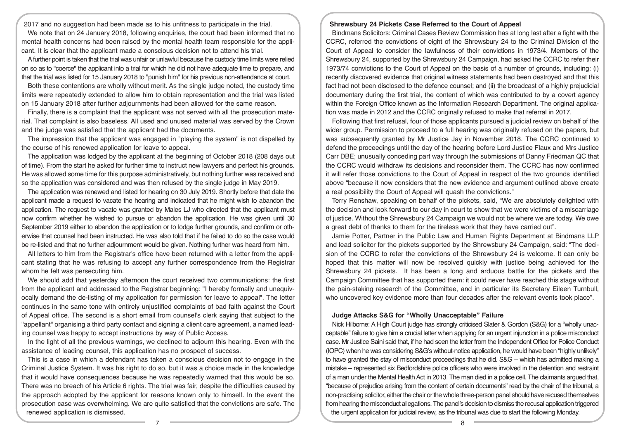2017 and no suggestion had been made as to his unfitness to participate in the trial. We note that on 24 January 2018, following enquiries, the court had been informed that no mental health concerns had been raised by the mental health team responsible for the applicant. It is clear that the applicant made a conscious decision not to attend his trial.

A further point is taken that the trial was unfair or unlawful because the custody time limits were relied on so as to "coerce" the applicant into a trial for which he did not have adequate time to prepare, and that the trial was listed for 15 January 2018 to "punish him" for his previous non-attendance at court.

Both these contentions are wholly without merit. As the single judge noted, the custody time limits were repeatedly extended to allow him to obtain representation and the trial was listed on 15 January 2018 after further adjournments had been allowed for the same reason.

Finally, there is a complaint that the applicant was not served with all the prosecution material. That complaint is also baseless. All used and unused material was served by the Crown and the judge was satisfied that the applicant had the documents.

The impression that the applicant was engaged in "playing the system" is not dispelled by the course of his renewed application for leave to appeal.

The application was lodged by the applicant at the beginning of October 2018 (208 days out of time). From the start he asked for further time to instruct new lawyers and perfect his grounds. He was allowed some time for this purpose administratively, but nothing further was received and so the application was considered and was then refused by the single judge in May 2019.

The application was renewed and listed for hearing on 30 July 2019. Shortly before that date the applicant made a request to vacate the hearing and indicated that he might wish to abandon the application. The request to vacate was granted by Males LJ who directed that the applicant must now confirm whether he wished to pursue or abandon the application. He was given until 30 September 2019 either to abandon the application or to lodge further grounds, and confirm or otherwise that counsel had been instructed. He was also told that if he failed to do so the case would be re-listed and that no further adjournment would be given. Nothing further was heard from him.

All letters to him from the Registrar's office have been returned with a letter from the applicant stating that he was refusing to accept any further correspondence from the Registrar whom he felt was persecuting him.

We should add that yesterday afternoon the court received two communications: the first from the applicant and addressed to the Registrar beginning: "I hereby formally and unequivocally demand the de-listing of my application for permission for leave to appeal". The letter continues in the same tone with entirely unjustified complaints of bad faith against the Court of Appeal office. The second is a short email from counsel's clerk saying that subject to the "appellant" organising a third party contact and signing a client care agreement, a named leading counsel was happy to accept instructions by way of Public Access.

In the light of all the previous warnings, we declined to adjourn this hearing. Even with the assistance of leading counsel, this application has no prospect of success.

This is a case in which a defendant has taken a conscious decision not to engage in the Criminal Justice System. It was his right to do so, but it was a choice made in the knowledge that it would have consequences because he was repeatedly warned that this would be so. There was no breach of his Article 6 rights. The trial was fair, despite the difficulties caused by the approach adopted by the applicant for reasons known only to himself. In the event the prosecution case was overwhelming. We are quite satisfied that the convictions are safe. The renewed application is dismissed.

#### **Shrewsbury 24 Pickets Case Referred to the Court of Appeal**

Bindmans Solicitors: Criminal Cases Review Commission has at long last after a fight with the CCRC, referred the convictions of eight of the Shrewsbury 24 to the Criminal Division of the Court of Appeal to consider the lawfulness of their convictions in 1973/4. Members of the Shrewsbury 24, supported by the Shrewsbury 24 Campaign, had asked the CCRC to refer their 1973/74 convictions to the Court of Appeal on the basis of a number of grounds, including: (i) recently discovered evidence that original witness statements had been destroyed and that this fact had not been disclosed to the defence counsel; and (ii) the broadcast of a highly prejudicial documentary during the first trial, the content of which was contributed to by a covert agency within the Foreign Office known as the Information Research Department. The original application was made in 2012 and the CCRC originally refused to make that referral in 2017.

Following that first refusal, four of those applicants pursued a judicial review on behalf of the wider group. Permission to proceed to a full hearing was originally refused on the papers, but was subsequently granted by Mr Justice Jay in November 2018. The CCRC continued to defend the proceedings until the day of the hearing before Lord Justice Flaux and Mrs Justice Carr DBE; unusually conceding part way through the submissions of Danny Friedman QC that the CCRC would withdraw its decisions and reconsider them. The CCRC has now confirmed it will refer those convictions to the Court of Appeal in respect of the two grounds identified above "because it now considers that the new evidence and argument outlined above create a real possibility the Court of Appeal will quash the convictions."

Terry Renshaw, speaking on behalf of the pickets, said, "We are absolutely delighted with the decision and look forward to our day in court to show that we were victims of a miscarriage of justice. Without the Shrewsbury 24 Campaign we would not be where we are today. We owe a great debt of thanks to them for the tireless work that they have carried out".

Jamie Potter, Partner in the Public Law and Human Rights Department at Bindmans LLP and lead solicitor for the pickets supported by the Shrewsbury 24 Campaign, said: "The decision of the CCRC to refer the convictions of the Shrewsbury 24 is welcome. It can only be hoped that this matter will now be resolved quickly with justice being achieved for the Shrewsbury 24 pickets. It has been a long and arduous battle for the pickets and the Campaign Committee that has supported them: it could never have reached this stage without the pain-staking research of the Committee, and in particular its Secretary Eileen Turnbull, who uncovered key evidence more than four decades after the relevant events took place".

#### **Judge Attacks S&G for "Wholly Unacceptable" Failure**

Nick Hilborne: A High Court judge has strongly criticised Slater & Gordon (S&G) for a "wholly unacceptable" failure to give him a crucial letter when applying for an urgent injunction in a police misconduct case. Mr Justice Saini said that, if he had seen the letter from the Independent Office for Police Conduct (IOPC) when he was considering S&G's without-notice application, he would have been "highly unlikely" to have granted the stay of misconduct proceedings that he did. S&G – which has admitted making a mistake – represented six Bedfordshire police officers who were involved in the detention and restraint of a man under the Mental Health Act in 2013. The man died in a police cell. The claimants argued that, "because of prejudice arising from the content of certain documents" read by the chair of the tribunal, a non-practising solicitor, either the chair or the whole three-person panel should have recused themselves from hearing the misconduct allegations. The panel's decision to dismiss the recusal application triggered the urgent application for judicial review, as the tribunal was due to start the following Monday.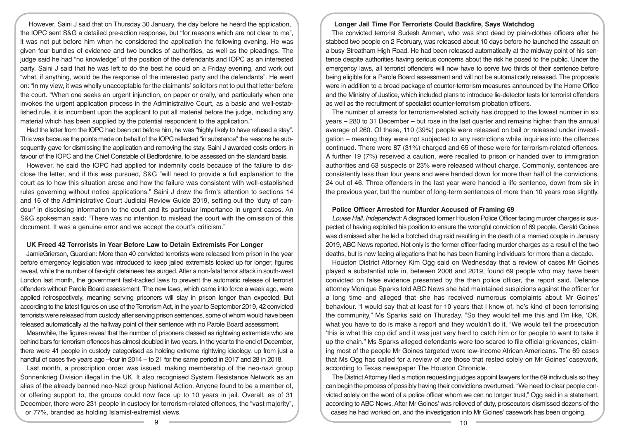However, Saini J said that on Thursday 30 January, the day before he heard the application, the IOPC sent S&G a detailed pre-action response, but "for reasons which are not clear to me", it was not put before him when he considered the application the following evening. He was given four bundles of evidence and two bundles of authorities, as well as the pleadings. The judge said he had "no knowledge" of the position of the defendants and IOPC as an interested party. Saini J said that he was left to do the best he could on a Friday evening, and work out "what, if anything, would be the response of the interested party and the defendants". He went on: "In my view, it was wholly unacceptable for the claimants' solicitors not to put that letter before the court. "When one seeks an urgent injunction, on paper or orally, and particularly when one invokes the urgent application process in the Administrative Court, as a basic and well-established rule, it is incumbent upon the applicant to put all material before the judge, including any material which has been supplied by the potential respondent to the application."

Had the letter from the IOPC had been put before him, he was "highly likely to have refused a stay". This was because the points made on behalf of the IOPC reflected "in substance" the reasons he subsequently gave for dismissing the application and removing the stay. Saini J awarded costs orders in favour of the IOPC and the Chief Constable of Bedfordshire, to be assessed on the standard basis.

However, he said the IOPC had applied for indemnity costs because of the failure to disclose the letter, and if this was pursued, S&G "will need to provide a full explanation to the court as to how this situation arose and how the failure was consistent with well-established rules governing without notice applications." Saini J drew the firm's attention to sections 14 and 16 of the Administrative Court Judicial Review Guide 2019, setting out the 'duty of candour' in disclosing information to the court and its particular importance in urgent cases. An S&G spokesman said: "There was no intention to mislead the court with the omission of this document. It was a genuine error and we accept the court's criticism."

## **UK Freed 42 Terrorists in Year Before Law to Detain Extremists For Longer**

JamieGrierson, Guardian: More than 40 convicted terrorists were released from prison in the year before emergency legislation was introduced to keep jailed extremists locked up for longer, figures reveal, while the number of far-right detainees has surged. After a non-fatal terror attack in south-west London last month, the government fast-tracked laws to prevent the automatic release of terrorist offenders without Parole Board assessment. The new laws, which came into force a week ago, were applied retrospectively, meaning serving prisoners will stay in prison longer than expected. But according to the latest figures on use of the Terrorism Act, in the year to September 2019, 42 convicted terrorists were released from custody after serving prison sentences, some of whom would have been released automatically at the halfway point of their sentence with no Parole Board assessment.

Meanwhile, the figures reveal that the number of prisoners classed as rightwing extremists who are behind bars for terrorism offences has almost doubled in two years. In the year to the end of December, there were 41 people in custody categorised as holding extreme rightwing ideology, up from just a handful of cases five years ago –four in 2014 – to 21 for the same period in 2017 and 28 in 2018.

Last month, a proscription order was issued, making membership of the neo-nazi group Sonnenkrieg Division illegal in the UK. It also recognised System Resistance Network as an alias of the already banned neo-Nazi group National Action. Anyone found to be a member of, or offering support to, the groups could now face up to 10 years in jail. Overall, as of 31 December, there were 231 people in custody for terrorism-related offences, the "vast majority". or 77%, branded as holding Islamist-extremist views.

# **Longer Jail Time For Terrorists Could Backfire, Says Watchdog**

The convicted terrorist Sudesh Amman, who was shot dead by plain-clothes officers after he stabbed two people on 2 February, was released about 10 days before he launched the assault on a busy Streatham High Road. He had been released automatically at the midway point of his sentence despite authorities having serious concerns about the risk he posed to the public. Under the emergency laws, all terrorist offenders will now have to serve two thirds of their sentence before being eligible for a Parole Board assessment and will not be automatically released. The proposals were in addition to a broad package of counter-terrorism measures announced by the Home Office and the Ministry of Justice, which included plans to introduce lie-detector tests for terrorist offenders as well as the recruitment of specialist counter-terrorism probation officers.

The number of arrests for terrorism-related activity has dropped to the lowest number in six years – 280 to 31 December – but rose in the last quarter and remains higher than the annual average of 260. Of these, 110 (39%) people were released on bail or released under investigation – meaning they were not subjected to any restrictions while inquiries into the offences continued. There were 87 (31%) charged and 65 of these were for terrorism-related offences. A further 19 (7%) received a caution, were recalled to prison or handed over to immigration authorities and 63 suspects or 23% were released without charge. Commonly, sentences are consistently less than four years and were handed down for more than half of the convictions, 24 out of 46. Three offenders in the last year were handed a life sentence, down from six in the previous year, but the number of long-term sentences of more than 10 years rose slightly.

#### **Police Officer Arrested for Murder Accused of Framing 69**

*Louise Hall, Independent:* A disgraced former Houston Police Officer facing murder charges is suspected of having exploited his position to ensure the wrongful conviction of 69 people. Gerald Goines was dismissed after he led a botched drug raid resulting in the death of a married couple in January 2019, ABC News reported. Not only is the former officer facing murder charges as a result of the two deaths, but is now facing allegations that he has been framing individuals for more than a decade.

Houston District Attorney Kim Ogg said on Wednesday that a review of cases Mr Goines played a substantial role in, between 2008 and 2019, found 69 people who may have been convicted on false evidence presented by the then police officer, the report said. Defence attorney Monique Sparks told ABC News she had maintained suspicions against the officer for a long time and alleged that she has received numerous complaints about Mr Goines' behaviour. "I would say that at least for 10 years that I know of, he's kind of been terrorising the community," Ms Sparks said on Thursday. "So they would tell me this and I'm like, 'OK, what you have to do is make a report and they wouldn't do it. "We would tell the prosecution 'this is what this cop did' and it was just very hard to catch him or for people to want to take it up the chain." Ms Sparks alleged defendants were too scared to file official grievances, claiming most of the people Mr Goines targeted were low-income African Americans. The 69 cases that Ms Ogg has called for a review of are those that rested solely on Mr Goines' casework, according to Texas newspaper The Houston Chronicle.

The District Attorney filed a motion requesting judges appoint lawyers for the 69 individuals so they can begin the process of possibly having their convictions overturned. "We need to clear people convicted solely on the word of a police officer whom we can no longer trust," Ogg said in a statement, according to ABC News. After Mr Goines' was relieved of duty, prosecutors dismissed dozens of the cases he had worked on, and the investigation into Mr Goines' casework has been ongoing.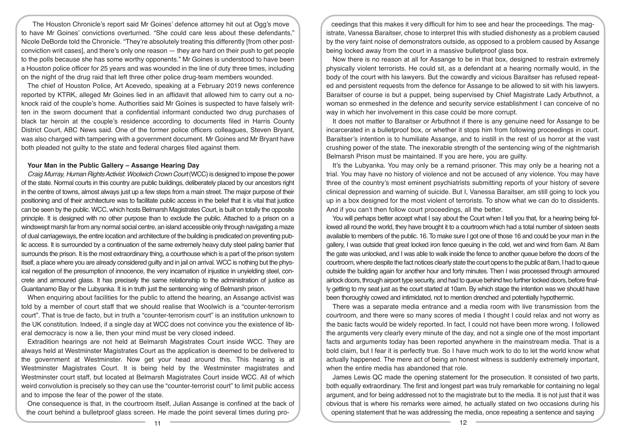The Houston Chronicle's report said Mr Goines' defence attorney hit out at Ogg's move to have Mr Goines' convictions overturned. "She could care less about these defendants," Nicole DeBorde told the Chronicle. "They're absolutely treating this differently [from other postconviction writ cases], and there's only one reason — they are hard on their push to get people to the polls because she has some worthy opponents." Mr Goines is understood to have been a Houston police officer for 25 years and was wounded in the line of duty three times, including on the night of the drug raid that left three other police drug-team members wounded.

The chief of Houston Police, Art Acevedo, speaking at a February 2019 news conference reported by KTRK, alleged Mr Goines lied in an affidavit that allowed him to carry out a noknock raid of the couple's home. Authorities said Mr Goines is suspected to have falsely written in the sworn document that a confidential informant conducted two drug purchases of black tar heroin at the couple's residence according to documents filed in Harris County District Court, ABC News said. One of the former police officers colleagues, Steven Bryant, was also charged with tampering with a government document. Mr Goines and Mr Bryant have both pleaded not guilty to the state and federal charges filed against them.

#### **Your Man in the Public Gallery – Assange Hearing Day**

*Craig Murray, Human Rights Activist*: *Woolwich Crown Court* (WCC) is designed to impose the power of the state. Normal courts in this country are public buildings, deliberately placed by our ancestors right in the centre of towns, almost always just up a few steps from a main street. The major purpose of their positioning and of their architecture was to facilitate public access in the belief that it is vital that justice can be seen by the public. WCC, which hosts Belmarsh Magistrates Court, is built on totally the opposite principle. It is designed with no other purpose than to exclude the public. Attached to a prison on a windswept marsh far from any normal social centre, an island accessible only through navigating a maze of dual carriageways, the entire location and architecture of the building is predicated on preventing public access. It is surrounded by a continuation of the same extremely heavy duty steel paling barrier that surrounds the prison. It is the most extraordinary thing, a courthouse which is a part of the prison system itself, a place where you are already considered guilty and in jail on arrival. WCC is nothing but the physical negation of the presumption of innocence, the very incarnation of injustice in unyielding steel, concrete and armoured glass. It has precisely the same relationship to the administration of justice as Guantanamo Bay or the Lubyanka. It is in truth just the sentencing wing of Belmarsh prison.

When enquiring about facilities for the public to attend the hearing, an Assange activist was told by a member of court staff that we should realise that Woolwich is a "counter-terrorism court". That is true de facto, but in truth a "counter-terrorism court" is an institution unknown to the UK constitution. Indeed, if a single day at WCC does not convince you the existence of liberal democracy is now a lie, then your mind must be very closed indeed.

Extradition hearings are not held at Belmarsh Magistrates Court inside WCC. They are always held at Westminster Magistrates Court as the application is deemed to be delivered to the government at Westminster. Now get your head around this. This hearing is at Westminster Magistrates Court. It is being held by the Westminster magistrates and Westminster court staff, but located at Belmarsh Magistrates Court inside WCC. All of which weird convolution is precisely so they can use the "counter-terrorist court" to limit public access and to impose the fear of the power of the state.

One consequence is that, in the courtroom itself, Julian Assange is confined at the back of the court behind a bulletproof glass screen. He made the point several times during pro-

ceedings that this makes it very difficult for him to see and hear the proceedings. The magistrate, Vanessa Baraitser, chose to interpret this with studied dishonesty as a problem caused by the very faint noise of demonstrators outside, as opposed to a problem caused by Assange being locked away from the court in a massive bulletproof glass box.

Now there is no reason at all for Assange to be in that box, designed to restrain extremely physically violent terrorists. He could sit, as a defendant at a hearing normally would, in the body of the court with his lawyers. But the cowardly and vicious Baraitser has refused repeated and persistent requests from the defence for Assange to be allowed to sit with his lawyers. Baraitser of course is but a puppet, being supervised by Chief Magistrate Lady Arbuthnot, a woman so enmeshed in the defence and security service establishment I can conceive of no way in which her involvement in this case could be more corrupt.

It does not matter to Baraitser or Arbuthnot if there is any genuine need for Assange to be incarcerated in a bulletproof box, or whether it stops him from following proceedings in court. Baraitser's intention is to humiliate Assange, and to instill in the rest of us horror at the vast crushing power of the state. The inexorable strength of the sentencing wing of the nightmarish Belmarsh Prison must be maintained. If you are here, you are guilty.

It's the Lubyanka. You may only be a remand prisoner. This may only be a hearing not a trial. You may have no history of violence and not be accused of any violence. You may have three of the country's most eminent psychiatrists submitting reports of your history of severe clinical depression and warning of suicide. But I, Vanessa Baraitser, am still going to lock you up in a box designed for the most violent of terrorists. To show what we can do to dissidents. And if you can't then follow court proceedings, all the better.

You will perhaps better accept what I say about the Court when I tell you that, for a hearing being followed all round the world, they have brought it to a courtroom which had a total number of sixteen seats available to members of the public. 16. To make sure I got one of those 16 and could be your man in the gallery, I was outside that great locked iron fence queuing in the cold, wet and wind from 6am. At 8am the gate was unlocked, and I was able to walk inside the fence to another queue before the doors of the courtroom, where despite the fact notices clearly state the court opens to the public at 8am, I had to queue outside the building again for another hour and forty minutes. Then I was processed through armoured airlock doors, through airport type security, and had to queue behind two further locked doors, before finally getting to my seat just as the court started at 10am. By which stage the intention was we should have been thoroughly cowed and intimidated, not to mention drenched and potentially hypothermic.

There was a separate media entrance and a media room with live transmission from the courtroom, and there were so many scores of media I thought I could relax and not worry as the basic facts would be widely reported. In fact, I could not have been more wrong. I followed the arguments very clearly every minute of the day, and not a single one of the most important facts and arguments today has been reported anywhere in the mainstream media. That is a bold claim, but I fear it is perfectly true. So I have much work to do to let the world know what actually happened. The mere act of being an honest witness is suddenly extremely important, when the entire media has abandoned that role.

James Lewis QC made the opening statement for the prosecution. It consisted of two parts, both equally extraordinary. The first and longest part was truly remarkable for containing no legal argument, and for being addressed not to the magistrate but to the media. It is not just that it was obvious that is where his remarks were aimed, he actually stated on two occasions during his opening statement that he was addressing the media, once repeating a sentence and saying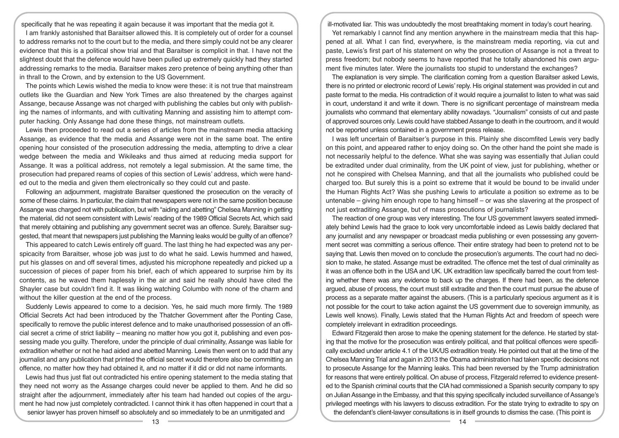specifically that he was repeating it again because it was important that the media got it. I am frankly astonished that Baraitser allowed this. It is completely out of order for a counsel to address remarks not to the court but to the media, and there simply could not be any clearer evidence that this is a political show trial and that Baraitser is complicit in that. I have not the slightest doubt that the defence would have been pulled up extremely quickly had they started addressing remarks to the media. Baraitser makes zero pretence of being anything other than in thrall to the Crown, and by extension to the US Government.

The points which Lewis wished the media to know were these: it is not true that mainstream outlets like the Guardian and New York Times are also threatened by the charges against Assange, because Assange was not charged with publishing the cables but only with publishing the names of informants, and with cultivating Manning and assisting him to attempt computer hacking. Only Assange had done these things, not mainstream outlets.

Lewis then proceeded to read out a series of articles from the mainstream media attacking Assange, as evidence that the media and Assange were not in the same boat. The entire opening hour consisted of the prosecution addressing the media, attempting to drive a clear wedge between the media and Wikileaks and thus aimed at reducing media support for Assange. It was a political address, not remotely a legal submission. At the same time, the prosecution had prepared reams of copies of this section of Lewis' address, which were handed out to the media and given them electronically so they could cut and paste.

Following an adjournment, magistrate Baraitser questioned the prosecution on the veracity of some of these claims. In particular, the claim that newspapers were not in the same position because Assange was charged not with publication, but with "aiding and abetting" Chelsea Manning in getting the material, did not seem consistent with Lewis' reading of the 1989 Official Secrets Act, which said that merely obtaining and publishing any government secret was an offence. Surely, Baraitser suggested, that meant that newspapers just publishing the Manning leaks would be guilty of an offence?

This appeared to catch Lewis entirely off guard. The last thing he had expected was any perspicacity from Baraitser, whose job was just to do what he said. Lewis hummed and hawed, put his glasses on and off several times, adjusted his microphone repeatedly and picked up a succession of pieces of paper from his brief, each of which appeared to surprise him by its contents, as he waved them haplessly in the air and said he really should have cited the Shayler case but couldn't find it. It was liking watching Columbo with none of the charm and without the killer question at the end of the process.

Suddenly Lewis appeared to come to a decision. Yes, he said much more firmly. The 1989 Official Secrets Act had been introduced by the Thatcher Government after the Ponting Case, specifically to remove the public interest defence and to make unauthorised possession of an official secret a crime of strict liability – meaning no matter how you got it, publishing and even possessing made you guilty. Therefore, under the principle of dual criminality, Assange was liable for extradition whether or not he had aided and abetted Manning. Lewis then went on to add that any journalist and any publication that printed the official secret would therefore also be committing an offence, no matter how they had obtained it, and no matter if it did or did not name informants.

Lewis had thus just flat out contradicted his entire opening statement to the media stating that they need not worry as the Assange charges could never be applied to them. And he did so straight after the adjournment, immediately after his team had handed out copies of the argument he had now just completely contradicted. I cannot think it has often happened in court that a senior lawyer has proven himself so absolutely and so immediately to be an unmitigated and

ill-motivated liar. This was undoubtedly the most breathtaking moment in today's court hearing.

Yet remarkably I cannot find any mention anywhere in the mainstream media that this happened at all. What I can find, everywhere, is the mainstream media reporting, via cut and paste, Lewis's first part of his statement on why the prosecution of Assange is not a threat to press freedom; but nobody seems to have reported that he totally abandoned his own argument five minutes later. Were the journalists too stupid to understand the exchanges?

The explanation is very simple. The clarification coming from a question Baraitser asked Lewis, there is no printed or electronic record of Lewis' reply. His original statement was provided in cut and paste format to the media. His contradiction of it would require a journalist to listen to what was said in court, understand it and write it down. There is no significant percentage of mainstream media journalists who command that elementary ability nowadays. "Journalism" consists of cut and paste of approved sources only. Lewis could have stabbed Assange to death in the courtroom, and it would not be reported unless contained in a government press release.

I was left uncertain of Baraitser's purpose in this. Plainly she discomfited Lewis very badly on this point, and appeared rather to enjoy doing so. On the other hand the point she made is not necessarily helpful to the defence. What she was saying was essentially that Julian could be extradited under dual criminality, from the UK point of view, just for publishing, whether or not he conspired with Chelsea Manning, and that all the journalists who published could be charged too. But surely this is a point so extreme that it would be bound to be invalid under the Human Rights Act? Was she pushing Lewis to articulate a position so extreme as to be untenable – giving him enough rope to hang himself – or was she slavering at the prospect of not just extraditing Assange, but of mass prosecutions of journalists?

The reaction of one group was very interesting. The four US government lawyers seated immediately behind Lewis had the grace to look very uncomfortable indeed as Lewis baldly declared that any journalist and any newspaper or broadcast media publishing or even possessing any government secret was committing a serious offence. Their entire strategy had been to pretend not to be saying that. Lewis then moved on to conclude the prosecution's arguments. The court had no decision to make, he stated. Assange must be extradited. The offence met the test of dual criminality as it was an offence both in the USA and UK. UK extradition law specifically barred the court from testing whether there was any evidence to back up the charges. If there had been, as the defence argued, abuse of process, the court must still extradite and then the court must pursue the abuse of process as a separate matter against the abusers. (This is a particularly specious argument as it is not possible for the court to take action against the US government due to sovereign immunity, as Lewis well knows). Finally, Lewis stated that the Human Rights Act and freedom of speech were completely irrelevant in extradition proceedings.

Edward Fitzgerald then arose to make the opening statement for the defence. He started by stating that the motive for the prosecution was entirely political, and that political offences were specifically excluded under article 4.1 of the UK/US extradition treaty. He pointed out that at the time of the Chelsea Manning Trial and again in 2013 the Obama administration had taken specific decisions not to prosecute Assange for the Manning leaks. This had been reversed by the Trump administration for reasons that were entirely political. On abuse of process, Fitzgerald referred to evidence presented to the Spanish criminal courts that the CIA had commissioned a Spanish security company to spy on Julian Assange in the Embassy, and that this spying specifically included surveillance of Assange's privileged meetings with his lawyers to discuss extradition. For the state trying to extradite to spy on the defendant's client-lawyer consultations is in itself grounds to dismiss the case. (This point is